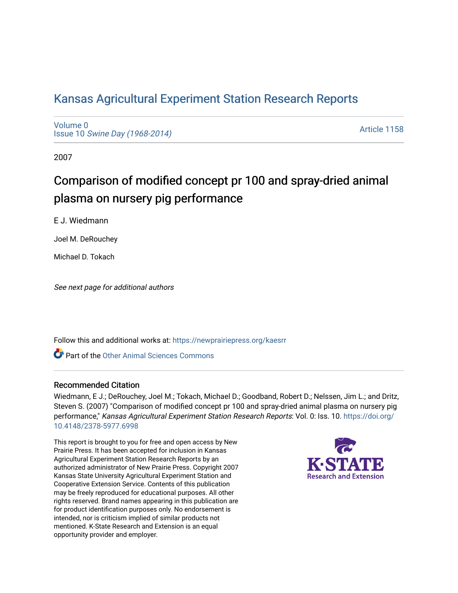## [Kansas Agricultural Experiment Station Research Reports](https://newprairiepress.org/kaesrr)

[Volume 0](https://newprairiepress.org/kaesrr/vol0) Issue 10 [Swine Day \(1968-2014\)](https://newprairiepress.org/kaesrr/vol0/iss10)

[Article 1158](https://newprairiepress.org/kaesrr/vol0/iss10/1158) 

2007

# Comparison of modified concept pr 100 and spray-dried animal plasma on nursery pig performance

E J. Wiedmann

Joel M. DeRouchey

Michael D. Tokach

See next page for additional authors

Follow this and additional works at: [https://newprairiepress.org/kaesrr](https://newprairiepress.org/kaesrr?utm_source=newprairiepress.org%2Fkaesrr%2Fvol0%2Fiss10%2F1158&utm_medium=PDF&utm_campaign=PDFCoverPages) 

Part of the [Other Animal Sciences Commons](http://network.bepress.com/hgg/discipline/82?utm_source=newprairiepress.org%2Fkaesrr%2Fvol0%2Fiss10%2F1158&utm_medium=PDF&utm_campaign=PDFCoverPages)

#### Recommended Citation

Wiedmann, E J.; DeRouchey, Joel M.; Tokach, Michael D.; Goodband, Robert D.; Nelssen, Jim L.; and Dritz, Steven S. (2007) "Comparison of modified concept pr 100 and spray-dried animal plasma on nursery pig performance," Kansas Agricultural Experiment Station Research Reports: Vol. 0: Iss. 10. [https://doi.org/](https://doi.org/10.4148/2378-5977.6998) [10.4148/2378-5977.6998](https://doi.org/10.4148/2378-5977.6998)

This report is brought to you for free and open access by New Prairie Press. It has been accepted for inclusion in Kansas Agricultural Experiment Station Research Reports by an authorized administrator of New Prairie Press. Copyright 2007 Kansas State University Agricultural Experiment Station and Cooperative Extension Service. Contents of this publication may be freely reproduced for educational purposes. All other rights reserved. Brand names appearing in this publication are for product identification purposes only. No endorsement is intended, nor is criticism implied of similar products not mentioned. K-State Research and Extension is an equal opportunity provider and employer.

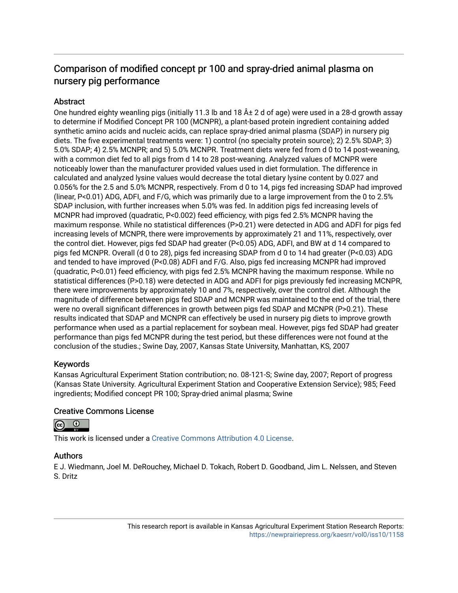## Comparison of modified concept pr 100 and spray-dried animal plasma on nursery pig performance

#### **Abstract**

One hundred eighty weanling pigs (initially 11.3 lb and 18  $\hat{A} \pm 2$  d of age) were used in a 28-d growth assay to determine if Modified Concept PR 100 (MCNPR), a plant-based protein ingredient containing added synthetic amino acids and nucleic acids, can replace spray-dried animal plasma (SDAP) in nursery pig diets. The five experimental treatments were: 1) control (no specialty protein source); 2) 2.5% SDAP; 3) 5.0% SDAP; 4) 2.5% MCNPR; and 5) 5.0% MCNPR. Treatment diets were fed from d 0 to 14 post-weaning, with a common diet fed to all pigs from d 14 to 28 post-weaning. Analyzed values of MCNPR were noticeably lower than the manufacturer provided values used in diet formulation. The difference in calculated and analyzed lysine values would decrease the total dietary lysine content by 0.027 and 0.056% for the 2.5 and 5.0% MCNPR, respectively. From d 0 to 14, pigs fed increasing SDAP had improved (linear, P<0.01) ADG, ADFI, and F/G, which was primarily due to a large improvement from the 0 to 2.5% SDAP inclusion, with further increases when 5.0% was fed. In addition pigs fed increasing levels of MCNPR had improved (quadratic, P<0.002) feed efficiency, with pigs fed 2.5% MCNPR having the maximum response. While no statistical differences (P>0.21) were detected in ADG and ADFI for pigs fed increasing levels of MCNPR, there were improvements by approximately 21 and 11%, respectively, over the control diet. However, pigs fed SDAP had greater (P<0.05) ADG, ADFI, and BW at d 14 compared to pigs fed MCNPR. Overall (d 0 to 28), pigs fed increasing SDAP from d 0 to 14 had greater (P<0.03) ADG and tended to have improved (P<0.08) ADFI and F/G. Also, pigs fed increasing MCNPR had improved (quadratic, P<0.01) feed efficiency, with pigs fed 2.5% MCNPR having the maximum response. While no statistical differences (P>0.18) were detected in ADG and ADFI for pigs previously fed increasing MCNPR, there were improvements by approximately 10 and 7%, respectively, over the control diet. Although the magnitude of difference between pigs fed SDAP and MCNPR was maintained to the end of the trial, there were no overall significant differences in growth between pigs fed SDAP and MCNPR (P>0.21). These results indicated that SDAP and MCNPR can effectively be used in nursery pig diets to improve growth performance when used as a partial replacement for soybean meal. However, pigs fed SDAP had greater performance than pigs fed MCNPR during the test period, but these differences were not found at the conclusion of the studies.; Swine Day, 2007, Kansas State University, Manhattan, KS, 2007

#### Keywords

Kansas Agricultural Experiment Station contribution; no. 08-121-S; Swine day, 2007; Report of progress (Kansas State University. Agricultural Experiment Station and Cooperative Extension Service); 985; Feed ingredients; Modified concept PR 100; Spray-dried animal plasma; Swine

#### Creative Commons License



This work is licensed under a [Creative Commons Attribution 4.0 License](https://creativecommons.org/licenses/by/4.0/).

#### Authors

E J. Wiedmann, Joel M. DeRouchey, Michael D. Tokach, Robert D. Goodband, Jim L. Nelssen, and Steven S. Dritz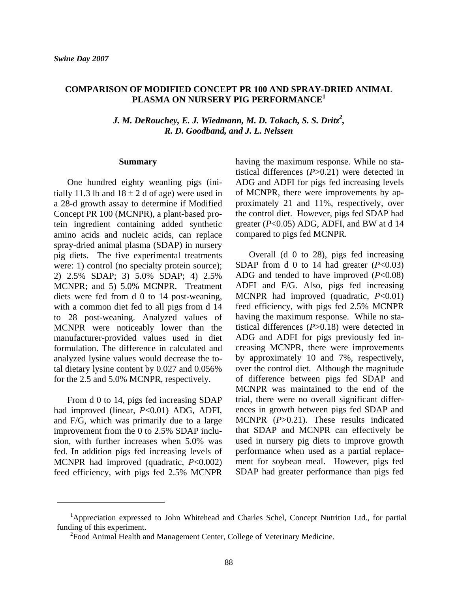#### **COMPARISON OF MODIFIED CONCEPT PR 100 AND SPRAY-DRIED ANIMAL PLASMA ON NURSERY PIG PERFORMANCE1**

*J. M. DeRouchey, E. J. Wiedmann, M. D. Tokach, S. S. Dritz<sup>2</sup>, R. D. Goodband, and J. L. Nelssen* 

#### **Summary**

One hundred eighty weanling pigs (initially 11.3 lb and  $18 \pm 2$  d of age) were used in a 28-d growth assay to determine if Modified Concept PR 100 (MCNPR), a plant-based protein ingredient containing added synthetic amino acids and nucleic acids, can replace spray-dried animal plasma (SDAP) in nursery pig diets. The five experimental treatments were: 1) control (no specialty protein source); 2) 2.5% SDAP; 3) 5.0% SDAP; 4) 2.5% MCNPR; and 5) 5.0% MCNPR. Treatment diets were fed from d 0 to 14 post-weaning, with a common diet fed to all pigs from d 14 to 28 post-weaning. Analyzed values of MCNPR were noticeably lower than the manufacturer-provided values used in diet formulation. The difference in calculated and analyzed lysine values would decrease the total dietary lysine content by 0.027 and 0.056% for the 2.5 and 5.0% MCNPR, respectively.

From d 0 to 14, pigs fed increasing SDAP had improved (linear, *P*<0.01) ADG, ADFI, and F/G, which was primarily due to a large improvement from the 0 to 2.5% SDAP inclusion, with further increases when 5.0% was fed. In addition pigs fed increasing levels of MCNPR had improved (quadratic, *P*<0.002) feed efficiency, with pigs fed 2.5% MCNPR

 $\overline{a}$ 

having the maximum response. While no statistical differences (*P*>0.21) were detected in ADG and ADFI for pigs fed increasing levels of MCNPR, there were improvements by approximately 21 and 11%, respectively, over the control diet. However, pigs fed SDAP had greater  $(P<0.05)$  ADG, ADFI, and BW at d 14 compared to pigs fed MCNPR.

Overall (d 0 to 28), pigs fed increasing SDAP from d 0 to 14 had greater (*P*<0.03) ADG and tended to have improved (*P*<0.08) ADFI and F/G. Also, pigs fed increasing MCNPR had improved (quadratic, *P*<0.01) feed efficiency, with pigs fed 2.5% MCNPR having the maximum response. While no statistical differences (*P*>0.18) were detected in ADG and ADFI for pigs previously fed increasing MCNPR, there were improvements by approximately 10 and 7%, respectively, over the control diet. Although the magnitude of difference between pigs fed SDAP and MCNPR was maintained to the end of the trial, there were no overall significant differences in growth between pigs fed SDAP and MCNPR (*P*>0.21). These results indicated that SDAP and MCNPR can effectively be used in nursery pig diets to improve growth performance when used as a partial replacement for soybean meal. However, pigs fed SDAP had greater performance than pigs fed

<sup>&</sup>lt;sup>1</sup>Appreciation expressed to John Whitehead and Charles Schel, Concept Nutrition Ltd., for partial funding of this experiment.

<sup>&</sup>lt;sup>2</sup> Food Animal Health and Management Center, College of Veterinary Medicine.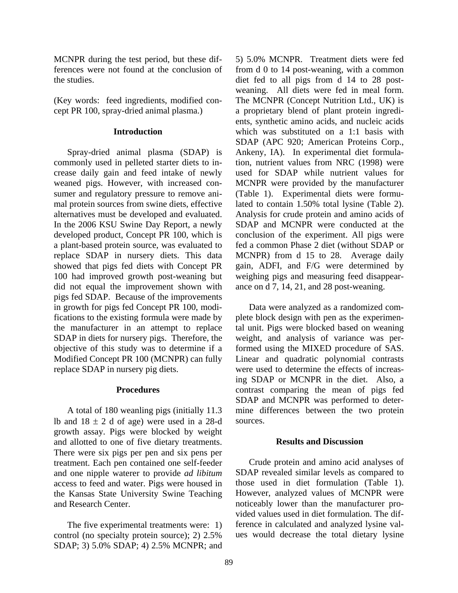MCNPR during the test period, but these differences were not found at the conclusion of the studies.

(Key words: feed ingredients, modified concept PR 100, spray-dried animal plasma.)

#### **Introduction**

Spray-dried animal plasma (SDAP) is commonly used in pelleted starter diets to increase daily gain and feed intake of newly weaned pigs. However, with increased consumer and regulatory pressure to remove animal protein sources from swine diets, effective alternatives must be developed and evaluated. In the 2006 KSU Swine Day Report, a newly developed product, Concept PR 100, which is a plant-based protein source, was evaluated to replace SDAP in nursery diets. This data showed that pigs fed diets with Concept PR 100 had improved growth post-weaning but did not equal the improvement shown with pigs fed SDAP. Because of the improvements in growth for pigs fed Concept PR 100, modifications to the existing formula were made by the manufacturer in an attempt to replace SDAP in diets for nursery pigs. Therefore, the objective of this study was to determine if a Modified Concept PR 100 (MCNPR) can fully replace SDAP in nursery pig diets.

#### **Procedures**

A total of 180 weanling pigs (initially 11.3 lb and  $18 \pm 2$  d of age) were used in a 28-d growth assay. Pigs were blocked by weight and allotted to one of five dietary treatments. There were six pigs per pen and six pens per treatment. Each pen contained one self-feeder and one nipple waterer to provide *ad libitum* access to feed and water. Pigs were housed in the Kansas State University Swine Teaching and Research Center.

The five experimental treatments were: 1) control (no specialty protein source); 2) 2.5% SDAP; 3) 5.0% SDAP; 4) 2.5% MCNPR; and 5) 5.0% MCNPR. Treatment diets were fed from d 0 to 14 post-weaning, with a common diet fed to all pigs from d 14 to 28 postweaning. All diets were fed in meal form. The MCNPR (Concept Nutrition Ltd., UK) is a proprietary blend of plant protein ingredients, synthetic amino acids, and nucleic acids which was substituted on a 1:1 basis with SDAP (APC 920; American Proteins Corp., Ankeny, IA). In experimental diet formulation, nutrient values from NRC (1998) were used for SDAP while nutrient values for MCNPR were provided by the manufacturer (Table 1). Experimental diets were formulated to contain 1.50% total lysine (Table 2). Analysis for crude protein and amino acids of SDAP and MCNPR were conducted at the conclusion of the experiment. All pigs were fed a common Phase 2 diet (without SDAP or MCNPR) from d 15 to 28. Average daily gain, ADFI, and F/G were determined by weighing pigs and measuring feed disappearance on d 7, 14, 21, and 28 post-weaning.

 Data were analyzed as a randomized complete block design with pen as the experimental unit. Pigs were blocked based on weaning weight, and analysis of variance was performed using the MIXED procedure of SAS. Linear and quadratic polynomial contrasts were used to determine the effects of increasing SDAP or MCNPR in the diet. Also, a contrast comparing the mean of pigs fed SDAP and MCNPR was performed to determine differences between the two protein sources.

#### **Results and Discussion**

Crude protein and amino acid analyses of SDAP revealed similar levels as compared to those used in diet formulation (Table 1). However, analyzed values of MCNPR were noticeably lower than the manufacturer provided values used in diet formulation. The difference in calculated and analyzed lysine values would decrease the total dietary lysine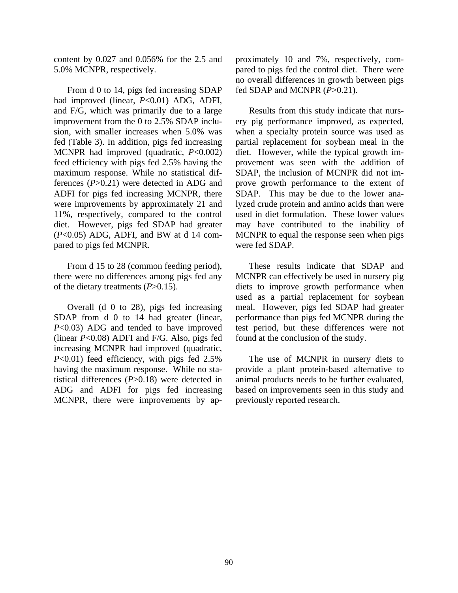content by 0.027 and 0.056% for the 2.5 and 5.0% MCNPR, respectively.

From d 0 to 14, pigs fed increasing SDAP had improved (linear, *P*<0.01) ADG, ADFI, and F/G, which was primarily due to a large improvement from the 0 to 2.5% SDAP inclusion, with smaller increases when 5.0% was fed (Table 3). In addition, pigs fed increasing MCNPR had improved (quadratic, *P*<0.002) feed efficiency with pigs fed 2.5% having the maximum response. While no statistical differences (*P*>0.21) were detected in ADG and ADFI for pigs fed increasing MCNPR, there were improvements by approximately 21 and 11%, respectively, compared to the control diet. However, pigs fed SDAP had greater (*P*<0.05) ADG, ADFI, and BW at d 14 compared to pigs fed MCNPR.

From d 15 to 28 (common feeding period), there were no differences among pigs fed any of the dietary treatments (*P*>0.15).

Overall (d 0 to 28), pigs fed increasing SDAP from d 0 to 14 had greater (linear, *P*<0.03) ADG and tended to have improved (linear *P*<0.08) ADFI and F/G. Also, pigs fed increasing MCNPR had improved (quadratic, *P*<0.01) feed efficiency, with pigs fed 2.5% having the maximum response. While no statistical differences (*P*>0.18) were detected in ADG and ADFI for pigs fed increasing MCNPR, there were improvements by approximately 10 and 7%, respectively, compared to pigs fed the control diet. There were no overall differences in growth between pigs fed SDAP and MCNPR (*P*>0.21).

Results from this study indicate that nursery pig performance improved, as expected, when a specialty protein source was used as partial replacement for soybean meal in the diet. However, while the typical growth improvement was seen with the addition of SDAP, the inclusion of MCNPR did not improve growth performance to the extent of SDAP. This may be due to the lower analyzed crude protein and amino acids than were used in diet formulation. These lower values may have contributed to the inability of MCNPR to equal the response seen when pigs were fed SDAP.

These results indicate that SDAP and MCNPR can effectively be used in nursery pig diets to improve growth performance when used as a partial replacement for soybean meal. However, pigs fed SDAP had greater performance than pigs fed MCNPR during the test period, but these differences were not found at the conclusion of the study.

The use of MCNPR in nursery diets to provide a plant protein-based alternative to animal products needs to be further evaluated, based on improvements seen in this study and previously reported research.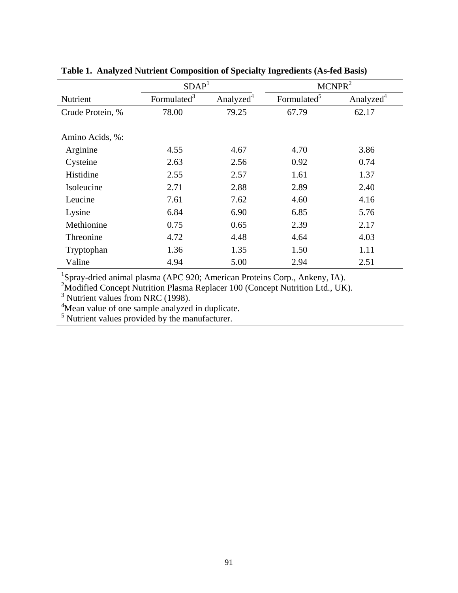|                  | SDAP <sup>1</sup>       |                       | MCNPR <sup>2</sup>      |                       |  |  |
|------------------|-------------------------|-----------------------|-------------------------|-----------------------|--|--|
| Nutrient         | Formulated <sup>3</sup> | Analyzed <sup>4</sup> | Formulated <sup>5</sup> | Analyzed <sup>4</sup> |  |  |
| Crude Protein, % | 78.00                   | 79.25                 | 67.79                   | 62.17                 |  |  |
|                  |                         |                       |                         |                       |  |  |
| Amino Acids, %:  |                         |                       |                         |                       |  |  |
| Arginine         | 4.55                    | 4.67                  | 4.70                    | 3.86                  |  |  |
| Cysteine         | 2.63                    | 2.56                  | 0.92                    | 0.74                  |  |  |
| Histidine        | 2.55                    | 2.57                  | 1.61                    | 1.37                  |  |  |
| Isoleucine       | 2.71                    | 2.88                  | 2.89                    | 2.40                  |  |  |
| Leucine          | 7.61                    | 7.62                  | 4.60                    | 4.16                  |  |  |
| Lysine           | 6.84                    | 6.90                  | 6.85                    | 5.76                  |  |  |
| Methionine       | 0.75                    | 0.65                  | 2.39                    | 2.17                  |  |  |
| Threonine        | 4.72                    | 4.48                  | 4.64                    | 4.03                  |  |  |
| Tryptophan       | 1.36                    | 1.35                  | 1.50                    | 1.11                  |  |  |
| Valine           | 4.94                    | 5.00                  | 2.94                    | 2.51                  |  |  |

### **Table 1. Analyzed Nutrient Composition of Specialty Ingredients (As-fed Basis)**

<sup>1</sup>Spray-dried animal plasma (APC 920; American Proteins Corp., Ankeny, IA).<br><sup>2</sup>Modified Concept Nutrition Plasma Replacer 100 (Concept Nutrition Ltd., UK).<br><sup>3</sup> Nutrient values from NRC (1998).<br><sup>4</sup>Mean value of one sample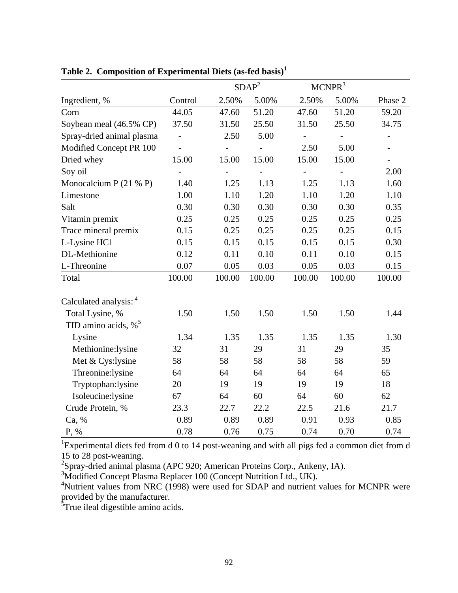|                                    |                          | SDAP <sup>2</sup>        |        | MCNPR <sup>3</sup>       |                          |                          |  |
|------------------------------------|--------------------------|--------------------------|--------|--------------------------|--------------------------|--------------------------|--|
| Ingredient, %                      | Control                  | 2.50%                    | 5.00%  | 2.50%                    | 5.00%                    | Phase 2                  |  |
| Corn                               | 44.05                    | 47.60                    | 51.20  | 47.60                    | 51.20                    | 59.20                    |  |
| Soybean meal (46.5% CP)            | 37.50                    | 31.50                    | 25.50  | 31.50                    | 25.50                    | 34.75                    |  |
| Spray-dried animal plasma          | $\overline{a}$           | 2.50                     | 5.00   | $\overline{\phantom{0}}$ | $\overline{\phantom{a}}$ | $\overline{\phantom{0}}$ |  |
| Modified Concept PR 100            | $\frac{1}{2}$            |                          |        | 2.50                     | 5.00                     | $\overline{\phantom{a}}$ |  |
| Dried whey                         | 15.00                    | 15.00                    | 15.00  | 15.00                    | 15.00                    | $\overline{\phantom{a}}$ |  |
| Soy oil                            | $\overline{\phantom{0}}$ | $\overline{\phantom{0}}$ |        | $\overline{\phantom{0}}$ |                          | 2.00                     |  |
| Monocalcium P $(21 \% P)$          | 1.40                     | 1.25                     | 1.13   | 1.25                     | 1.13                     | 1.60                     |  |
| Limestone                          | 1.00                     | 1.10                     | 1.20   | 1.10                     | 1.20                     | 1.10                     |  |
| Salt                               | 0.30                     | 0.30                     | 0.30   | 0.30                     | 0.30                     | 0.35                     |  |
| Vitamin premix                     | 0.25                     | 0.25                     | 0.25   | 0.25                     | 0.25                     | 0.25                     |  |
| Trace mineral premix               | 0.15                     | 0.25                     | 0.25   | 0.25                     | 0.25                     | 0.15                     |  |
| L-Lysine HCl                       | 0.15                     | 0.15                     | 0.15   | 0.15                     | 0.15                     | 0.30                     |  |
| DL-Methionine                      | 0.12                     | 0.11                     | 0.10   | 0.11                     | 0.10                     | 0.15                     |  |
| L-Threonine                        | 0.07                     | 0.05                     | 0.03   | 0.05                     | 0.03                     | 0.15                     |  |
| Total                              | 100.00                   | 100.00                   | 100.00 | 100.00                   | 100.00                   | 100.00                   |  |
| Calculated analysis: 4             |                          |                          |        |                          |                          |                          |  |
| Total Lysine, %                    | 1.50                     | 1.50                     | 1.50   | 1.50                     | 1.50                     | 1.44                     |  |
| TID amino acids, $\%$ <sup>5</sup> |                          |                          |        |                          |                          |                          |  |
| Lysine                             | 1.34                     | 1.35                     | 1.35   | 1.35                     | 1.35                     | 1.30                     |  |
| Methionine:lysine                  | 32                       | 31                       | 29     | 31                       | 29                       | 35                       |  |
| Met & Cys:lysine                   | 58                       | 58                       | 58     | 58                       | 58                       | 59                       |  |
| Threonine:lysine                   | 64                       | 64                       | 64     | 64                       | 64                       | 65                       |  |
| Tryptophan:lysine                  | 20                       | 19                       | 19     | 19                       | 19                       | 18                       |  |
| Isoleucine:lysine                  | 67                       | 64                       | 60     | 64                       | 60                       | 62                       |  |
| Crude Protein, %                   | 23.3                     | 22.7                     | 22.2   | 22.5                     | 21.6                     | 21.7                     |  |
| Ca, %                              | 0.89                     | 0.89                     | 0.89   | 0.91                     | 0.93                     | 0.85                     |  |
| P, %                               | 0.78                     | 0.76                     | 0.75   | 0.74                     | 0.70                     | 0.74                     |  |

**Table 2. Composition of Experimental Diets (as-fed basis)<sup>1</sup>**

<sup>1</sup>Experimental diets fed from d 0 to 14 post-weaning and with all pigs fed a common diet from d

15 to 28 post-weaning.<br><sup>2</sup>Spray-dried animal plasma (APC 920; American Proteins Corp., Ankeny, IA).

<sup>3</sup>Modified Concept Plasma Replacer 100 (Concept Nutrition Ltd., UK).

<sup>4</sup>Nutrient values from NRC (1998) were used for SDAP and nutrient values for MCNPR were provided by the manufacturer.

<sup>5</sup>True ileal digestible amino acids.